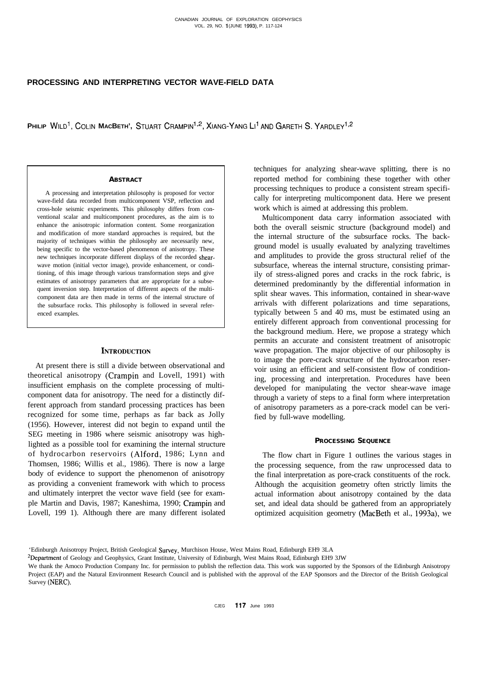# **PROCESSING AND INTERPRETING VECTOR WAVE-FIELD DATA**

**PHILIP WILD', COLIN MACBETH', STUART CRAMPIN lo\*, XIANG-YANG LI'AND GARETH S. YARDLEVI>\***

## **ABSTRACT**

A processing and interpretation philosophy is proposed for vector wave-field data recorded from multicomponent VSP, reflection and cross-hole seismic experiments. This philosophy differs from conventional scalar and multicomponent procedures, as the aim is to enhance the anisotropic information content. Some reorganization and modification of more standard approaches is required, but the majority of techniques within the philosophy are necessarily new, being specific to the vector-based phenomenon of anisotropy. These new techniques incorporate different displays of the recorded shearwave motion (initial vector image), provide enhancement, or conditioning, of this image through various transformation steps and give estimates of anisotropy parameters that are appropriate for a subsequent inversion step. Interpretation of different aspects of the multicomponent data are then made in terms of the internal structure of the subsurface rocks. This philosophy is followed in several referenced examples.

## **INTRODUCTION**

At present there is still a divide between observational and theoretical anisotropy (Crampin and Lovell, 1991) with insufficient emphasis on the complete processing of multicomponent data for anisotropy. The need for a distinctly different approach from standard processing practices has been recognized for some time, perhaps as far back as Jolly (1956). However, interest did not begin to expand until the SEG meeting in 1986 where seismic anisotropy was highlighted as a possible tool for examining the internal structure of hydrocarbon reservoirs (Alford, 1986; Lynn and Thomsen, 1986; Willis et al., 1986). There is now a large body of evidence to support the phenomenon of anisotropy as providing a convenient framework with which to process and ultimately interpret the vector wave field (see for example Martin and Davis, 1987; Kaneshima, 1990; Crampin and Lovell, 199 1). Although there are many different isolated techniques for analyzing shear-wave splitting, there is no reported method for combining these together with other processing techniques to produce a consistent stream specifically for interpreting multicomponent data. Here we present work which is aimed at addressing this problem.

Multicomponent data carry information associated with both the overall seismic structure (background model) and the internal structure of the subsurface rocks. The background model is usually evaluated by analyzing traveltimes and amplitudes to provide the gross structural relief of the subsurface, whereas the internal structure, consisting primarily of stress-aligned pores and cracks in the rock fabric, is determined predominantly by the differential information in split shear waves. This information, contained in shear-wave arrivals with different polarizations and time separations, typically between 5 and 40 ms, must be estimated using an entirely different approach from conventional processing for the background medium. Here, we propose a strategy which permits an accurate and consistent treatment of anisotropic wave propagation. The major objective of our philosophy is to image the pore-crack structure of the hydrocarbon reservoir using an efficient and self-consistent flow of conditioning, processing and interpretation. Procedures have been developed for manipulating the vector shear-wave image through a variety of steps to a final form where interpretation of anisotropy parameters as a pore-crack model can be verified by full-wave modelling.

### **PROCESSING SEQUENCE**

The flow chart in Figure 1 outlines the various stages in the processing sequence, from the raw unprocessed data to the final interpretation as pore-crack constituents of the rock. Although the acquisition geometry often strictly limits the actual information about anisotropy contained by the data set, and ideal data should be gathered from an appropriately optimized acquisition geometry (MacBeth et al., 1993a), we

CJEG 117 June 1993

<sup>&#</sup>x27;Edinburgh Anisotropy Project, British Geological **Survey,** Murchison House, West Mains Road, Edinburgh EH9 3LA

<sup>2</sup>Department of Geology and Geophysics, Grant Institute, University of Edinburgh, West Mains Road, Edinburgh EH9 3JW

We thank the Amoco Production Company Inc. for permission to publish the reflection data. This work was supported by the Sponsors of the Edinburgh Anisotropy Project (EAP) and the Natural Environment Research Council and is published with the approval of the EAP Sponsors and the Director of the British Geological Survey (NERC).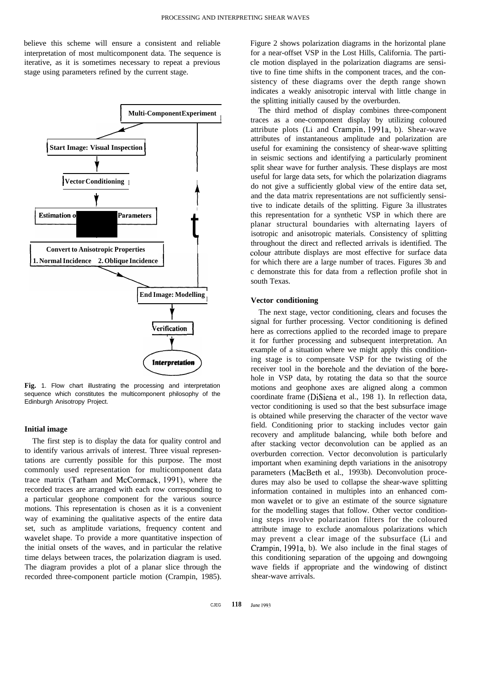believe this scheme will ensure a consistent and reliable interpretation of most multicomponent data. The sequence is iterative, as it is sometimes necessary to repeat a previous stage using parameters refined by the current stage.



**Fig.** 1. Flow chart illustrating the processing and interpretation sequence which constitutes the multicomponent philosophy of the Edinburgh Anisotropy Project.

## **Initial image**

The first step is to display the data for quality control and to identify various arrivals of interest. Three visual representations are currently possible for this purpose. The most commonly used representation for multicomponent data trace matrix (Tatham and McCormack, 1991), where the recorded traces are arranged with each row corresponding to a particular geophone component for the various source motions. This representation is chosen as it is a convenient way of examining the qualitative aspects of the entire data set, such as amplitude variations, frequency content and wavelet shape. To provide a more quantitative inspection of the initial onsets of the waves, and in particular the relative time delays between traces, the polarization diagram is used. The diagram provides a plot of a planar slice through the recorded three-component particle motion (Crampin, 1985).

Figure 2 shows polarization diagrams in the horizontal plane for a near-offset VSP in the Lost Hills, California. The particle motion displayed in the polarization diagrams are sensitive to fine time shifts in the component traces, and the consistency of these diagrams over the depth range shown indicates a weakly anisotropic interval with little change in the splitting initially caused by the overburden.

The third method of display combines three-component traces as a one-component display by utilizing coloured attribute plots (Li and Crampin, 1991a, b). Shear-wave attributes of instantaneous amplitude and polarization are useful for examining the consistency of shear-wave splitting in seismic sections and identifying a particularly prominent split shear wave for further analysis. These displays are most useful for large data sets, for which the polarization diagrams do not give a sufficiently global view of the entire data set, and the data matrix representations are not sufficiently sensitive to indicate details of the splitting. Figure 3a illustrates this representation for a synthetic VSP in which there are planar structural boundaries with alternating layers of isotropic and anisotropic materials. Consistency of splitting throughout the direct and reflected arrivals is identified. The colour attribute displays are most effective for surface data for which there are a large number of traces. Figures 3b and c demonstrate this for data from a reflection profile shot in south Texas.

### **Vector conditioning**

The next stage, vector conditioning, clears and focuses the signal for further processing. Vector conditioning is defined here as corrections applied to the recorded image to prepare it for further processing and subsequent interpretation. An example of a situation where we might apply this conditioning stage is to compensate VSP for the twisting of the receiver tool in the borehole and the deviation of the borehole in VSP data, by rotating the data so that the source motions and geophone axes are aligned along a common coordinate frame (DiSiena et al., 198 1). In reflection data, vector conditioning is used so that the best subsurface image is obtained while preserving the character of the vector wave field. Conditioning prior to stacking includes vector gain recovery and amplitude balancing, while both before and after stacking vector deconvolution can be applied as an overburden correction. Vector deconvolution is particularly important when examining depth variations in the anisotropy parameters (MacBeth et al., 1993b). Deconvolution procedures may also be used to collapse the shear-wave splitting information contained in multiples into an enhanced common wavelet or to give an estimate of the source signature for the modelling stages that follow. Other vector conditioning steps involve polarization filters for the coloured attribute image to exclude anomalous polarizations which may prevent a clear image of the subsurface (Li and Crampin, 1991a, b). We also include in the final stages of this conditioning separation of the upgoing and downgoing wave fields if appropriate and the windowing of distinct shear-wave arrivals.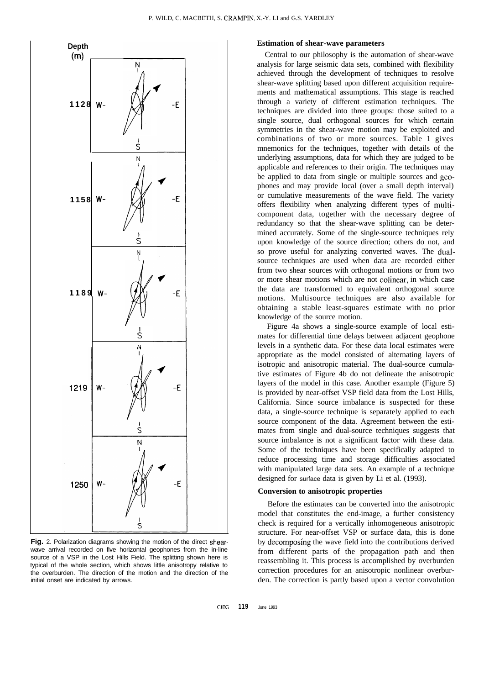

**Fig.** 2. Polarization diagrams showing the motion of the direct shearwave arrival recorded on five horizontal geophones from the in-line source of a VSP in the Lost Hills Field. The splitting shown here is typical of the whole section, which shows little anisotropy relative to the overburden. The direction of the motion and the direction of the initial onset are indicated by arrows.

## **Estimation of shear-wave parameters**

Central to our philosophy is the automation of shear-wave analysis for large seismic data sets, combined with flexibility achieved through the development of techniques to resolve shear-wave splitting based upon different acquisition requirements and mathematical assumptions. This stage is reached through a variety of different estimation techniques. The techniques are divided into three groups: those suited to a single source, dual orthogonal sources for which certain symmetries in the shear-wave motion may be exploited and combinations of two or more sources. Table 1 gives mnemonics for the techniques, together with details of the underlying assumptions, data for which they are judged to be applicable and references to their origin. The techniques may be applied to data from single or multiple sources and geophones and may provide local (over a small depth interval) or cumulative measurements of the wave field. The variety offers flexibility when analyzing different types of multicomponent data, together with the necessary degree of redundancy so that the shear-wave splitting can be determined accurately. Some of the single-source techniques rely upon knowledge of the source direction; others do not, and so prove useful for analyzing converted waves. The dualsource techniques are used when data are recorded either from two shear sources with orthogonal motions or from two or more shear motions which are not colinear, in which case the data are transformed to equivalent orthogonal source motions. Multisource techniques are also available for obtaining a stable least-squares estimate with no prior knowledge of the source motion.

Figure 4a shows a single-source example of local estimates for differential time delays between adjacent geophone levels in a synthetic data. For these data local estimates were appropriate as the model consisted of alternating layers of isotropic and anisotropic material. The dual-source cumulative estimates of Figure 4b do not delineate the anisotropic layers of the model in this case. Another example (Figure 5) is provided by near-offset VSP field data from the Lost Hills, California. Since source imbalance is suspected for these data, a single-source technique is separately applied to each source component of the data. Agreement between the estimates from single and dual-source techniques suggests that source imbalance is not a significant factor with these data. Some of the techniques have been specifically adapted to reduce processing time and storage difficulties associated with manipulated large data sets. An example of a technique designed for surface data is given by Li et al. (1993).

## **Conversion to anisotropic properties**

Before the estimates can be converted into the anisotropic model that constitutes the end-image, a further consistency check is required for a vertically inhomogeneous anisotropic structure. For near-offset VSP or surface data, this is done by decomposing the wave field into the contributions derived from different parts of the propagation path and then reassembling it. This process is accomplished by overburden correction procedures for an anisotropic nonlinear overburden. The correction is partly based upon a vector convolution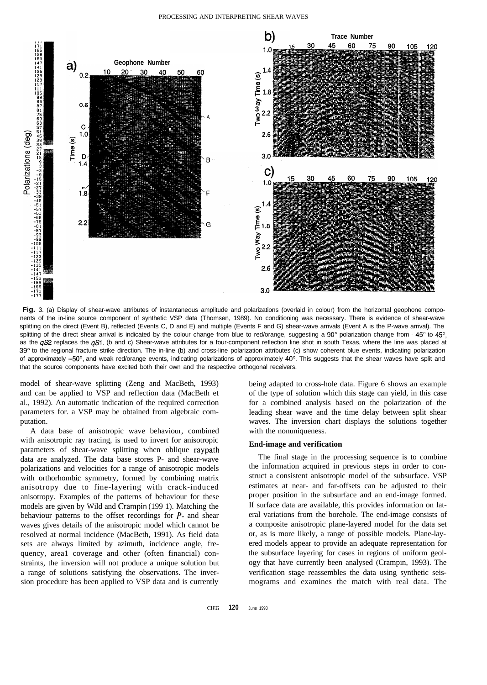

**Fig.** 3. (a) Display of shear-wave attributes of instantaneous amplitude and polarizations (overlaid in colour) from the horizontal geophone components of the in-line source component of synthetic VSP data (Thomsen, 1989). No conditioning was necessary. There is evidence of shear-wave splitting on the direct (Event B), reflected (Events C, D and E) and multiple (Events F and G) shear-wave arrivals (Event A is the P-wave arrival). The splitting of the direct shear arrival is indicated by the colour change from blue to red/orange, suggesting a 90° polarization change from  $-45^\circ$  to  $45^\circ$ , as the  $qS2$  replaces the  $qS1$ . (b and c) Shear-wave attributes for a four-component reflection line shot in south Texas, where the line was placed at 39° to the regional fracture strike direction. The in-line (b) and cross-line polarization attributes (c) show coherent blue events, indicating polarization of approximately  $-50^\circ$ , and weak red/orange events, indicating polarizations of approximately  $40^\circ$ . This suggests that the shear waves have split and that the source components have excited both their own and the respective orthogonal receivers.

model of shear-wave splitting (Zeng and MacBeth, 1993) and can be applied to VSP and reflection data (MacBeth et al., 1992). An automatic indication of the required correction parameters for. a VSP may be obtained from algebraic computation.

A data base of anisotropic wave behaviour, combined with anisotropic ray tracing, is used to invert for anisotropic parameters of shear-wave splitting when oblique raypath data are analyzed. The data base stores P- and shear-wave polarizations and velocities for a range of anisotropic models with orthorhombic symmetry, formed by combining matrix anisotropy due to fine-layering with crack-induced anisotropy. Examples of the patterns of behaviour for these models are given by Wild and Crampin (199 1). Matching the behaviour patterns to the offset recordings for P- and shear waves gives details of the anisotropic model which cannot be resolved at normal incidence (MacBeth, 1991). As field data sets are always limited by azimuth, incidence angle, frequency, area1 coverage and other (often financial) constraints, the inversion will not produce a unique solution but a range of solutions satisfying the observations. The inversion procedure has been applied to VSP data and is currently

being adapted to cross-hole data. Figure 6 shows an example of the type of solution which this stage can yield, in this case for a combined analysis based on the polarization of the leading shear wave and the time delay between split shear waves. The inversion chart displays the solutions together with the nonuniqueness.

## **End-image and verification**

The final stage in the processing sequence is to combine the information acquired in previous steps in order to construct a consistent anisotropic model of the subsurface. VSP estimates at near- and far-offsets can be adjusted to their proper position in the subsurface and an end-image formed. If surface data are available, this provides information on lateral variations from the borehole. The end-image consists of a composite anisotropic plane-layered model for the data set or, as is more likely, a range of possible models. Plane-layered models appear to provide an adequate representation for the subsurface layering for cases in regions of uniform geology that have currently been analysed (Crampin, 1993). The verification stage reassembles the data using synthetic seismograms and examines the match with real data. The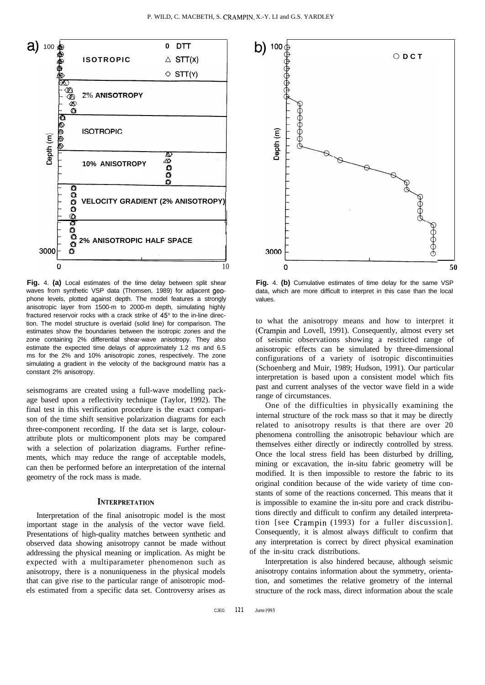

**Fig.** 4. **(a)** Local estimates of the time delay between split shear waves from synthetic VSP data (Thomsen, 1989) for adjacent geophone levels, plotted against depth. The model features a strongly anisotropic layer from 1500-m to 2000-m depth, simulating highly fractured reservoir rocks with a crack strike of 45° to the in-line direction. The model structure is overlaid (solid line) for comparison. The estimates show the boundaries between the isotropic zones and the zone containing 2% differential shear-wave anisotropy. They also estimate the expected time delays of approximately 1.2 ms and 6.5 ms for the 2% and 10% anisotropic zones, respectively. The zone simulating a gradient in the velocity of the background matrix has a constant 2% anisotropy.

seismograms are created using a full-wave modelling package based upon a reflectivity technique (Taylor, 1992). The final test in this verification procedure is the exact comparison of the time shift sensitive polarization diagrams for each three-component recording. If the data set is large, colourattribute plots or multicomponent plots may be compared with a selection of polarization diagrams. Further refinements, which may reduce the range of acceptable models, can then be performed before an interpretation of the internal geometry of the rock mass is made.

## **INTERPRETATION**

Interpretation of the final anisotropic model is the most important stage in the analysis of the vector wave field. Presentations of high-quality matches between synthetic and observed data showing anisotropy cannot be made without addressing the physical meaning or implication. As might be expected with a multiparameter phenomenon such as anisotropy, there is a nonuniqueness in the physical models that can give rise to the particular range of anisotropic models estimated from a specific data set. Controversy arises as



**Fig.** 4. **(b)** Cumulative estimates of time delay for the same VSP data, which are more difficult to interpret in this case than the local values.

to what the anisotropy means and how to interpret it (Crampin and Lovell, 1991). Consequently, almost every set of seismic observations showing a restricted range of anisotropic effects can be simulated by three-dimensional configurations of a variety of isotropic discontinuities (Schoenberg and Muir, 1989; Hudson, 1991). Our particular interpretation is based upon a consistent model which fits past and current analyses of the vector wave field in a wide range of circumstances.

One of the difficulties in physically examining the internal structure of the rock mass so that it may be directly related to anisotropy results is that there are over 20 phenomena controlling the anisotropic behaviour which are themselves either directly or indirectly controlled by stress. Once the local stress field has been disturbed by drilling, mining or excavation, the in-situ fabric geometry will be modified. It is then impossible to restore the fabric to its original condition because of the wide variety of time constants of some of the reactions concerned. This means that it is impossible to examine the in-situ pore and crack distributions directly and difficult to confirm any detailed interpretation [see Crampin (1993) for a fuller discussion]. Consequently, it is almost always difficult to confirm that any interpretation is correct by direct physical examination of the in-situ crack distributions.

Interpretation is also hindered because, although seismic anisotropy contains information about the symmetry, orientation, and sometimes the relative geometry of the internal structure of the rock mass, direct information about the scale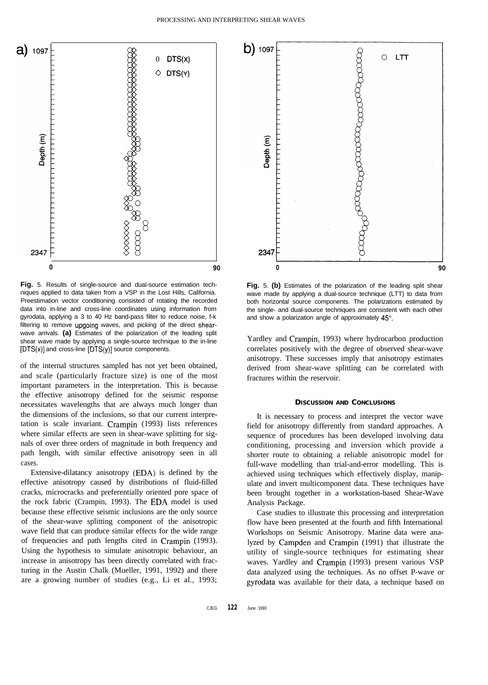

**Fig.** 5. Results of single-source and dual-source estimation techniques applied to data taken from a VSP in the Lost Hills, California. Preestimation vector conditioning consisted of rotating the recorded data into in-line and cross-line coordinates using information from gyrodata, applying a 3 to 40 Hz band-pass filter to reduce noise, f-k filtering to remove upgoing waves, and picking of the direct shearwave arrivals. **(a)** Estimates of the polarization of the leading split shear wave made by applying a single-source technique to the in-line [DTS(x)] and cross-line [DTS(y)] source components.

of the internal structures sampled has not yet been obtained, and scale (particularly fracture size) is one of the most important parameters in the interpretation. This is because the effective anisotropy defined for the seismic response necessitates wavelengths that are always much longer than the dimensions of the inclusions, so that our current interpretation is scale invariant. Crampin (1993) lists references where similar effects are seen in shear-wave splitting for signals of over three orders of magnitude in both frequency and path length, with similar effective anisotropy seen in all cases.

Extensive-dilatancy anisotropy (EDA) is defined by the effective anisotropy caused by distributions of fluid-filled cracks, microcracks and preferentially oriented pore space of the rock fabric (Crampin, 1993). The EDA model is used because these effective seismic inclusions are the only source of the shear-wave splitting component of the anisotropic wave field that can produce similar effects for the wide range of frequencies and path lengths cited in Crampin (1993). Using the hypothesis to simulate anisotropic behaviour, an increase in anisotropy has been directly correlated with fracturing in the Austin Chalk (Mueller, 1991, 1992) and there are a growing number of studies (e.g., Li et al., 1993;



**Fig.** 5. **(b)** Estimates of the polarization of the leading split shear wave made by applying a dual-source technique (LTT) to data from both horizontal source components. The polarizations estimated by the single- and dual-source techniques are consistent with each other and show a polarization angle of approximately 45°.

Yardley and Crampin, 1993) where hydrocarbon production correlates positively with the degree of observed shear-wave anisotropy. These successes imply that anisotropy estimates derived from shear-wave splitting can be correlated with fractures within the reservoir.

## **DISCUSSION AND CONCLUSIONS**

It is necessary to process and interpret the vector wave field for anisotropy differently from standard approaches. A sequence of procedures has been developed involving data conditioning, processing and inversion which provide a shorter route to obtaining a reliable anisotropic model for full-wave modelling than trial-and-error modelling. This is achieved using techniques which effectively display, manipulate and invert multicomponent data. These techniques have been brought together in a workstation-based Shear-Wave Analysis Package.

Case studies to illustrate this processing and interpretation flow have been presented at the fourth and fifth International Workshops on Seismic Anisotropy. Marine data were analyzed by Campden and Crampin (1991) that illustrate the utility of single-source techniques for estimating shear waves. Yardley and Crampin (1993) present various VSP data analyzed using the techniques. As no offset P-wave or gyrodata was available for their data, a technique based on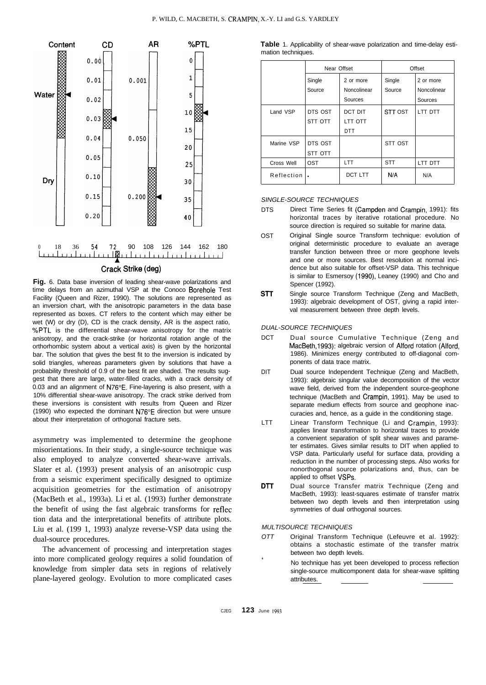

**Fig.** 6. Data base inversion of leading shear-wave polarizations and time delays from an azimuthal VSP at the Conoco Borehole Test Facility (Queen and Rizer, 1990). The solutions are represented as an inversion chart, with the anisotropic parameters in the data base represented as boxes. CT refers to the content which may either be wet (W) or dry (D), CD is the crack density, AR is the aspect ratio, %PTL is the differential shear-wave anisotropy for the matrix anisotropy, and the crack-strike (or horizontal rotation angle of the orthorhombic system about a vertical axis) is given by the horizontal bar. The solution that gives the best fit to the inversion is indicated by solid triangles, whereas parameters given by solutions that have a probability threshold of 0.9 of the best fit are shaded. The results suggest that there are large, water-filled cracks, with a crack density of 0.03 and an alignment of N76"E. Fine-layering is also present, with a 10% differential shear-wave anisotropy. The crack strike derived from these inversions is consistent with results from Queen and Rizer (1990) who expected the dominant N76"E direction but were unsure about their interpretation of orthogonal fracture sets.

asymmetry was implemented to determine the geophone misorientations. In their study, a single-source technique was also employed to analyze converted shear-wave arrivals. Slater et al. (1993) present analysis of an anisotropic cusp from a seismic experiment specifically designed to optimize acquisition geometries for the estimation of anisotropy (MacBeth et al., 1993a). Li et al. (1993) further demonstrate the benefit of using the fast algebraic transforms for reflec tion data and the interpretational benefits of attribute plots. Liu et al. (199 1, 1993) analyze reverse-VSP data using the dual-source procedures.

The advancement of processing and interpretation stages into more complicated geology requires a solid foundation of knowledge from simpler data sets in regions of relatively plane-layered geology. Evolution to more complicated cases

**Table** 1. Applicability of shear-wave polarization and time-delay estimation techniques.

|            | Near Offset |             | Offset         |             |
|------------|-------------|-------------|----------------|-------------|
|            | Single      | 2 or more   | Single         | 2 or more   |
|            | Source      | Noncolinear | Source         | Noncolinear |
|            |             | Sources     |                | Sources     |
| Land VSP   | DTS OST     | DCT DIT     | <b>STT OST</b> | LTT DTT     |
|            | STT OTT     | LTT OTT     |                |             |
|            |             | DTT         |                |             |
| Marine VSP | DTS OST     |             | STT OST        |             |
|            | STT OTT     |             |                |             |
| Cross Well | <b>OST</b>  | <b>LTT</b>  | <b>STT</b>     | LTT DTT     |
| Reflection |             | DCT LTT     | N/A            | N/A         |

#### *SINGLE-SOURCE TECHNIQUES*

- DTS Direct Time Series fit (Campden and Crampin, 1991): fits horizontal traces by iterative rotational procedure. No source direction is required so suitable for marine data.
- OST Original Single source Transform technique: evolution of original deterministic procedure to evaluate an average transfer function between three or more geophone levels and one or more sources. Best resolution at normal incidence but also suitable for offset-VSP data. This technique is similar to Esmersoy (1990), Leaney (1990) and Cho and Spencer (1992).
- **STT** Single source Transform Technique (Zeng and MacBeth, 1993): algebraic development of OST, giving a rapid interval measurement between three depth levels.

#### *DUAL-SOURCE TECHNIQUES*

- DCT Dual source Cumulative Technique (Zeng and MacBeth,1993): algebraic version of Alford rotation (Alford, 1986). Minimizes energy contributed to off-diagonal components of data trace matrix.
- DIT Dual source Independent Technique (Zeng and MacBeth, 1993): algebraic singular value decomposition of the vector wave field, derived from the independent source-geophone technique (MacBeth and Crampin, 1991). May be used to separate medium effects from source and geophone inaccuracies and, hence, as a guide in the conditioning stage.
- LTT Linear Transform Technique (Li and Crampin, 1993): applies linear transformation to horizontal traces to provide a convenient separation of split shear waves and parameter estimates. Gives similar results to DIT when applied to VSP data. Particularly useful for surface data, providing a reduction in the number of processing steps. Also works for nonorthogonal source polarizations and, thus, can be applied to offset VSPs.
- DTT Dual source Transfer matrix Technique (Zeng and MacBeth, 1993): least-squares estimate of transfer matrix between two depth levels and then interpretation using symmetries of dual orthogonal sources.

*MULTISOURCE TECHNIQUES*

- *OTT* Original Transform Technique (Lefeuvre et al. 1992): obtains a stochastic estimate of the transfer matrix between two depth levels.
	- No technique has yet been developed to process reflection single-source multicomponent data for shear-wave splitting attributes.